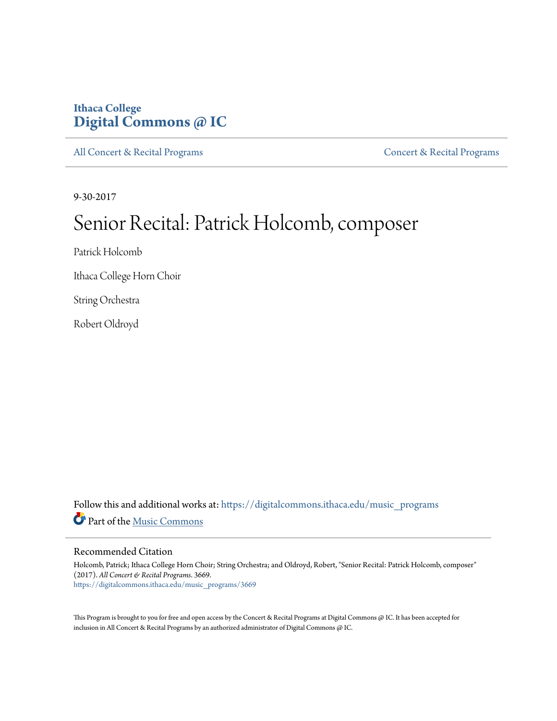# **Ithaca College [Digital Commons @ IC](https://digitalcommons.ithaca.edu?utm_source=digitalcommons.ithaca.edu%2Fmusic_programs%2F3669&utm_medium=PDF&utm_campaign=PDFCoverPages)**

[All Concert & Recital Programs](https://digitalcommons.ithaca.edu/music_programs?utm_source=digitalcommons.ithaca.edu%2Fmusic_programs%2F3669&utm_medium=PDF&utm_campaign=PDFCoverPages) **[Concert & Recital Programs](https://digitalcommons.ithaca.edu/som_programs?utm_source=digitalcommons.ithaca.edu%2Fmusic_programs%2F3669&utm_medium=PDF&utm_campaign=PDFCoverPages)** Concert & Recital Programs

9-30-2017

# Senior Recital: Patrick Holcomb, composer

Patrick Holcomb

Ithaca College Horn Choir

String Orchestra

Robert Oldroyd

Follow this and additional works at: [https://digitalcommons.ithaca.edu/music\\_programs](https://digitalcommons.ithaca.edu/music_programs?utm_source=digitalcommons.ithaca.edu%2Fmusic_programs%2F3669&utm_medium=PDF&utm_campaign=PDFCoverPages) Part of the [Music Commons](http://network.bepress.com/hgg/discipline/518?utm_source=digitalcommons.ithaca.edu%2Fmusic_programs%2F3669&utm_medium=PDF&utm_campaign=PDFCoverPages)

#### Recommended Citation

Holcomb, Patrick; Ithaca College Horn Choir; String Orchestra; and Oldroyd, Robert, "Senior Recital: Patrick Holcomb, composer" (2017). *All Concert & Recital Programs*. 3669. [https://digitalcommons.ithaca.edu/music\\_programs/3669](https://digitalcommons.ithaca.edu/music_programs/3669?utm_source=digitalcommons.ithaca.edu%2Fmusic_programs%2F3669&utm_medium=PDF&utm_campaign=PDFCoverPages)

This Program is brought to you for free and open access by the Concert & Recital Programs at Digital Commons @ IC. It has been accepted for inclusion in All Concert & Recital Programs by an authorized administrator of Digital Commons @ IC.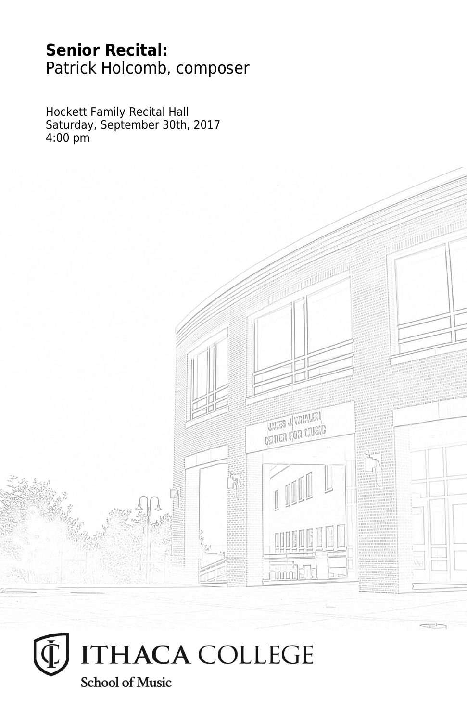# **Senior Recital:** Patrick Holcomb, composer

Hockett Family Recital Hall Saturday, September 30th, 2017 4:00 pm



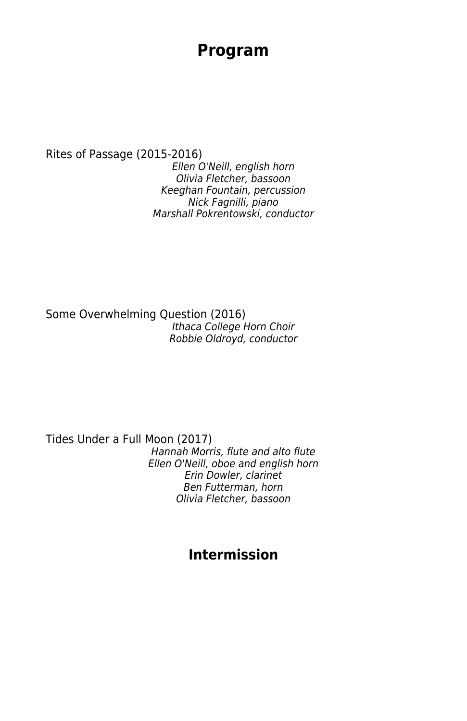## **Program**

Rites of Passage (2015-2016) Ellen O'Neill, english horn Olivia Fletcher, bassoon Keeghan Fountain, percussion Nick Fagnilli, piano Marshall Pokrentowski, conductor

Some Overwhelming Question (2016) Ithaca College Horn Choir Robbie Oldroyd, conductor

Tides Under a Full Moon (2017) Hannah Morris, flute and alto flute Ellen O'Neill, oboe and english horn Erin Dowler, clarinet Ben Futterman, horn Olivia Fletcher, bassoon

### **Intermission**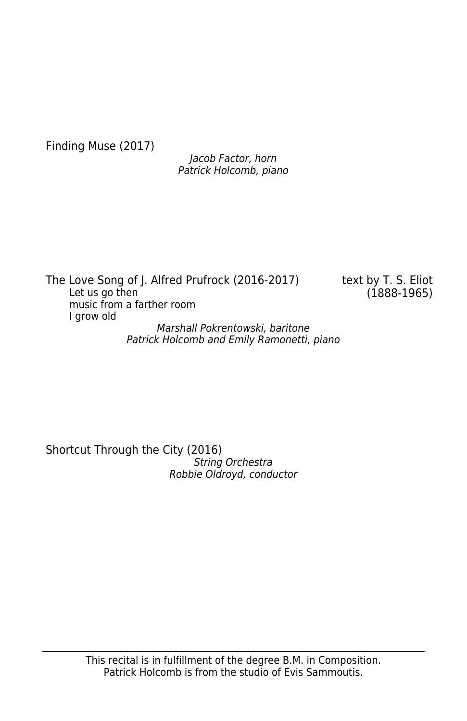Finding Muse (2017)

Jacob Factor, horn Patrick Holcomb, piano

The Love Song of J. Alfred Prufrock (2016-2017) text by T. S. Eliot Let us go then  $(1888-1965)$ music from a farther room I grow old

Marshall Pokrentowski, baritone Patrick Holcomb and Emily Ramonetti, piano

Shortcut Through the City (2016) String Orchestra Robbie Oldroyd, conductor